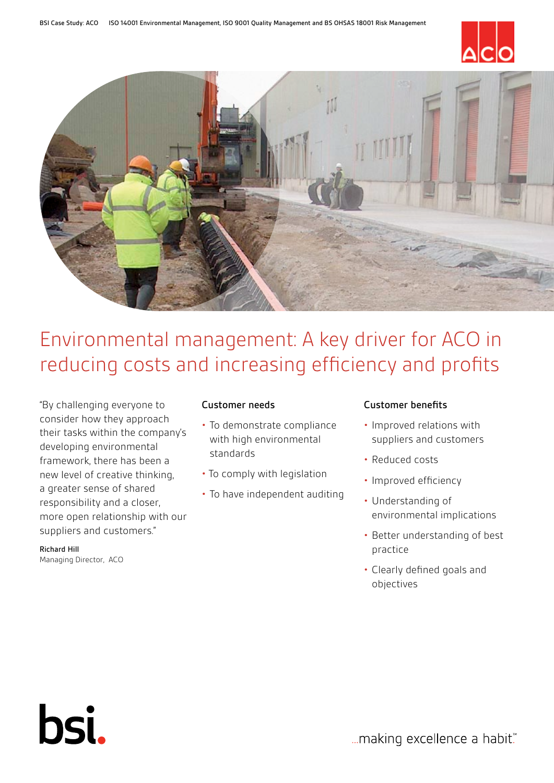



# Environmental management: A key driver for ACO in reducing costs and increasing efficiency and profits

"By challenging everyone to consider how they approach their tasks within the company's developing environmental framework, there has been a new level of creative thinking, a greater sense of shared responsibility and a closer, more open relationship with our suppliers and customers."

Richard Hill Managing Director, ACO

bsi.

# Customer needs

- To demonstrate compliance with high environmental standards
- To comply with legislation
- To have independent auditing

# Customer benefits

- Improved relations with suppliers and customers
- Reduced costs
- Improved efficiency
- Understanding of environmental implications
- Better understanding of best practice
- Clearly defined goals and objectives